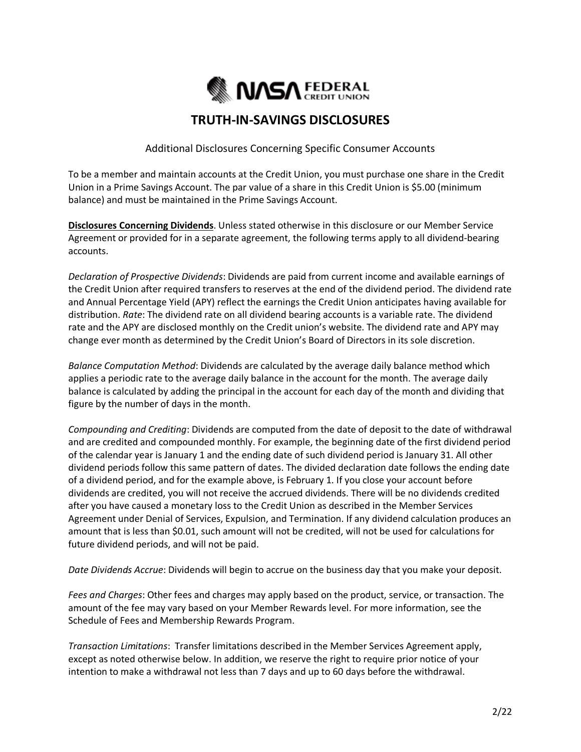

# **TRUTH-IN-SAVINGS DISCLOSURES**

Additional Disclosures Concerning Specific Consumer Accounts

To be a member and maintain accounts at the Credit Union, you must purchase one share in the Credit Union in a Prime Savings Account. The par value of a share in this Credit Union is \$5.00 (minimum balance) and must be maintained in the Prime Savings Account.

**Disclosures Concerning Dividends**. Unless stated otherwise in this disclosure or our Member Service Agreement or provided for in a separate agreement, the following terms apply to all dividend-bearing accounts.

*Declaration of Prospective Dividends*: Dividends are paid from current income and available earnings of the Credit Union after required transfers to reserves at the end of the dividend period. The dividend rate and Annual Percentage Yield (APY) reflect the earnings the Credit Union anticipates having available for distribution. *Rate*: The dividend rate on all dividend bearing accounts is a variable rate. The dividend rate and the APY are disclosed monthly on the Credit union's website. The dividend rate and APY may change ever month as determined by the Credit Union's Board of Directors in its sole discretion.

*Balance Computation Method*: Dividends are calculated by the average daily balance method which applies a periodic rate to the average daily balance in the account for the month. The average daily balance is calculated by adding the principal in the account for each day of the month and dividing that figure by the number of days in the month.

*Compounding and Crediting*: Dividends are computed from the date of deposit to the date of withdrawal and are credited and compounded monthly. For example, the beginning date of the first dividend period of the calendar year is January 1 and the ending date of such dividend period is January 31. All other dividend periods follow this same pattern of dates. The divided declaration date follows the ending date of a dividend period, and for the example above, is February 1. If you close your account before dividends are credited, you will not receive the accrued dividends. There will be no dividends credited after you have caused a monetary loss to the Credit Union as described in the Member Services Agreement under Denial of Services, Expulsion, and Termination. If any dividend calculation produces an amount that is less than \$0.01, such amount will not be credited, will not be used for calculations for future dividend periods, and will not be paid.

*Date Dividends Accrue*: Dividends will begin to accrue on the business day that you make your deposit.

*Fees and Charges*: Other fees and charges may apply based on the product, service, or transaction. The amount of the fee may vary based on your Member Rewards level. For more information, see the Schedule of Fees and Membership Rewards Program.

*Transaction Limitations*: Transfer limitations described in the Member Services Agreement apply, except as noted otherwise below. In addition, we reserve the right to require prior notice of your intention to make a withdrawal not less than 7 days and up to 60 days before the withdrawal.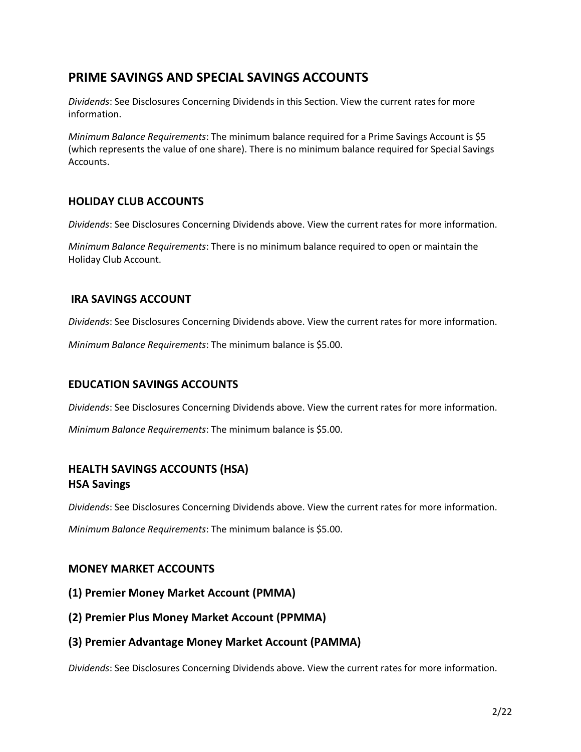# **PRIME SAVINGS AND SPECIAL SAVINGS ACCOUNTS**

*Dividends*: See Disclosures Concerning Dividends in this Section. View the current rates for more information.

*Minimum Balance Requirements*: The minimum balance required for a Prime Savings Account is \$5 (which represents the value of one share). There is no minimum balance required for Special Savings Accounts.

# **HOLIDAY CLUB ACCOUNTS**

*Dividends*: See Disclosures Concerning Dividends above. View the current rates for more information.

*Minimum Balance Requirements*: There is no minimum balance required to open or maintain the Holiday Club Account.

## **IRA SAVINGS ACCOUNT**

*Dividends*: See Disclosures Concerning Dividends above. View the current rates for more information.

*Minimum Balance Requirements*: The minimum balance is \$5.00.

### **EDUCATION SAVINGS ACCOUNTS**

*Dividends*: See Disclosures Concerning Dividends above. View the current rates for more information.

*Minimum Balance Requirements*: The minimum balance is \$5.00.

# **HEALTH SAVINGS ACCOUNTS (HSA) HSA Savings**

*Dividends*: See Disclosures Concerning Dividends above. View the current rates for more information.

*Minimum Balance Requirements*: The minimum balance is \$5.00.

### **MONEY MARKET ACCOUNTS**

- **(1) Premier Money Market Account (PMMA)**
- **(2) Premier Plus Money Market Account (PPMMA)**
- **(3) Premier Advantage Money Market Account (PAMMA)**

*Dividends*: See Disclosures Concerning Dividends above. View the current rates for more information.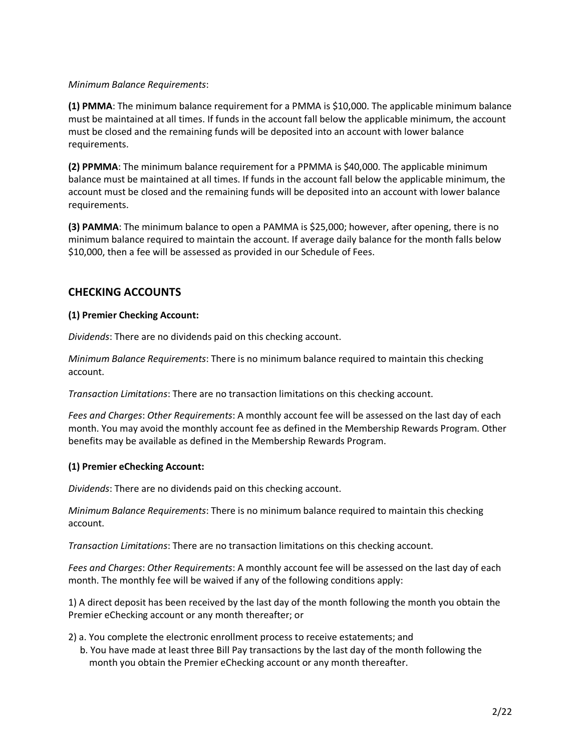#### *Minimum Balance Requirements*:

**(1) PMMA**: The minimum balance requirement for a PMMA is \$10,000. The applicable minimum balance must be maintained at all times. If funds in the account fall below the applicable minimum, the account must be closed and the remaining funds will be deposited into an account with lower balance requirements.

**(2) PPMMA**: The minimum balance requirement for a PPMMA is \$40,000. The applicable minimum balance must be maintained at all times. If funds in the account fall below the applicable minimum, the account must be closed and the remaining funds will be deposited into an account with lower balance requirements.

**(3) PAMMA**: The minimum balance to open a PAMMA is \$25,000; however, after opening, there is no minimum balance required to maintain the account. If average daily balance for the month falls below \$10,000, then a fee will be assessed as provided in our Schedule of Fees.

## **CHECKING ACCOUNTS**

#### **(1) Premier Checking Account:**

*Dividends*: There are no dividends paid on this checking account.

*Minimum Balance Requirements*: There is no minimum balance required to maintain this checking account.

*Transaction Limitations*: There are no transaction limitations on this checking account.

*Fees and Charges*: *Other Requirements*: A monthly account fee will be assessed on the last day of each month. You may avoid the monthly account fee as defined in the Membership Rewards Program. Other benefits may be available as defined in the Membership Rewards Program.

#### **(1) Premier eChecking Account:**

*Dividends*: There are no dividends paid on this checking account.

*Minimum Balance Requirements*: There is no minimum balance required to maintain this checking account.

*Transaction Limitations*: There are no transaction limitations on this checking account.

*Fees and Charges*: *Other Requirements*: A monthly account fee will be assessed on the last day of each month. The monthly fee will be waived if any of the following conditions apply:

1) A direct deposit has been received by the last day of the month following the month you obtain the Premier eChecking account or any month thereafter; or

- 2) a. You complete the electronic enrollment process to receive estatements; and
	- b. You have made at least three Bill Pay transactions by the last day of the month following the month you obtain the Premier eChecking account or any month thereafter.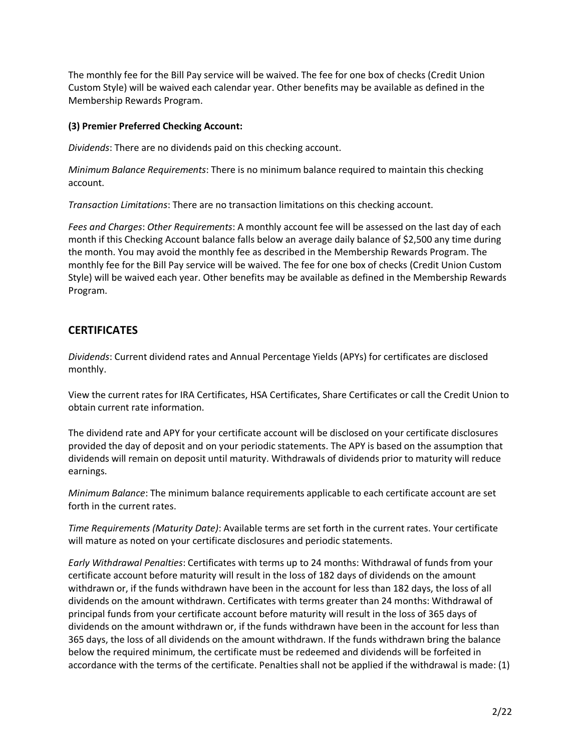The monthly fee for the Bill Pay service will be waived. The fee for one box of checks (Credit Union Custom Style) will be waived each calendar year. Other benefits may be available as defined in the Membership Rewards Program.

#### **(3) Premier Preferred Checking Account:**

*Dividends*: There are no dividends paid on this checking account.

*Minimum Balance Requirements*: There is no minimum balance required to maintain this checking account.

*Transaction Limitations*: There are no transaction limitations on this checking account.

*Fees and Charges*: *Other Requirements*: A monthly account fee will be assessed on the last day of each month if this Checking Account balance falls below an average daily balance of \$2,500 any time during the month. You may avoid the monthly fee as described in the Membership Rewards Program. The monthly fee for the Bill Pay service will be waived. The fee for one box of checks (Credit Union Custom Style) will be waived each year. Other benefits may be available as defined in the Membership Rewards Program.

# **CERTIFICATES**

*Dividends*: Current dividend rates and Annual Percentage Yields (APYs) for certificates are disclosed monthly.

View the current rates for IRA Certificates, HSA Certificates, Share Certificates or call the Credit Union to obtain current rate information.

The dividend rate and APY for your certificate account will be disclosed on your certificate disclosures provided the day of deposit and on your periodic statements. The APY is based on the assumption that dividends will remain on deposit until maturity. Withdrawals of dividends prior to maturity will reduce earnings.

*Minimum Balance*: The minimum balance requirements applicable to each certificate account are set forth in the current rates.

*Time Requirements (Maturity Date)*: Available terms are set forth in the current rates. Your certificate will mature as noted on your certificate disclosures and periodic statements.

*Early Withdrawal Penalties*: Certificates with terms up to 24 months: Withdrawal of funds from your certificate account before maturity will result in the loss of 182 days of dividends on the amount withdrawn or, if the funds withdrawn have been in the account for less than 182 days, the loss of all dividends on the amount withdrawn. Certificates with terms greater than 24 months: Withdrawal of principal funds from your certificate account before maturity will result in the loss of 365 days of dividends on the amount withdrawn or, if the funds withdrawn have been in the account for less than 365 days, the loss of all dividends on the amount withdrawn. If the funds withdrawn bring the balance below the required minimum, the certificate must be redeemed and dividends will be forfeited in accordance with the terms of the certificate. Penalties shall not be applied if the withdrawal is made: (1)